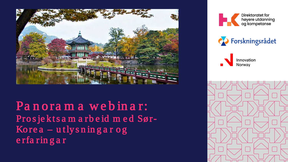

Panorama webinar: Prosjektsamarbeid med Sør-Korea  $-$ utlysningar og erfaringar





Innovation Norway

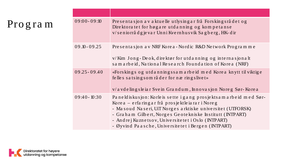Progra m

| $09:00 - 09:10$ | Presentasjon av aktuelle utlysing ar frå Forsking srådet og<br>Direktoratet for høgare utdanning og kompetanse<br>v/seniorrådgje var Unni Kvernhus vik Sagberg, HK-dir                                                                                                                                                                                     |
|-----------------|------------------------------------------------------------------------------------------------------------------------------------------------------------------------------------------------------------------------------------------------------------------------------------------------------------------------------------------------------------|
| $09.10 - 09.25$ | Presentasjon av NRF Korea - Nordic R&D Network Programme                                                                                                                                                                                                                                                                                                   |
|                 | v/Kim Jong-Deok, direktør for utdanning og internasjonalt<br>samarbeid, National Research Foundation of Korea (NRF)                                                                                                                                                                                                                                        |
| $09.25 - 09.40$ | «Forskings og utdanningssam arbeid med Korea knytt til viktige<br>felles satsing som råder for næring slivet»<br>v/a vdelingsleiar Svein Grandum, Innovasjon Noreg Sør-Korea                                                                                                                                                                               |
| $09:40 - 10:30$ | Paneldiskusjon: Korle is sette i gang prosjekts amarbe id med Sør-<br>Korea – erfaringar frå prosjektleiarar i Noreg<br>- Masoud Naseri, UiT Norges arktiske universitet (UTFORSK)<br>- Graham Gilbert, Norges Geotekniske Institutt (INTPART)<br>- Andrej Kuznetsov, Universitetet i Oslo (INTPART)<br>- Øyvind Paasche, Universitetet i Bergen (INTPART) |

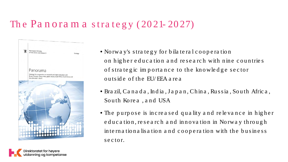### The Panoram a strategy (2021-2027)



- Norway's strategy for bilateral cooperation on higher education and research with nine countries of strategic importance to the knowledge sector o u ts id e o f th e EU/ EEA a re a
- Bra zil, Ca n a d a , In d ia , J a p a n , Ch in a , Ru s s ia , South Afric a , South Korea, and USA
- The purpose is increased quality and relevance in higher e duc a tion, re search and innovation in Norway through in te rn a tion a lisation and cooperation with the business se ctor.

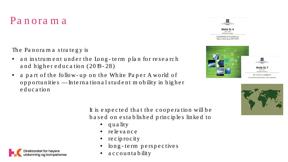### Pa nora m a

The Panorama strategy is

- an instrum ent under the Long-term plan for research and higher education (2019-28)
- a part of the follow-up on the White Paper A world of opportunities — International student mobility in higher e d u c a tio n







It is expected that the cooperation will be b a sed on e stablished principles linked to

- quality
- re le va n c e
- re c ip ro c ity
- long-term perspectives
- a c c o u n ta b ility

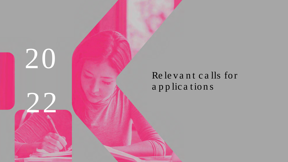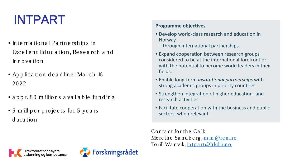# INTPART

- In te rn a tio n a l Pa rtn e rs h ip s in Excellent Education, Research and In n o va tio n
- Application deadline: March 16 20 22
- a p p r. 80 m illions a vailable funding
- 5 m ill per projects for 5 years d u ra tio n

#### **Programme objectives**

- Develop world-class research and education in **Norway**
- through international partnerships.
- Expand cooperation between research groups considered to be at the international forefront or with the potential to become world leaders in their fields.
- Enable long-term *institutional partnerships* with strong academic groups in priority countries.
- Strengthen integration of higher education- and research activities.
- Facilitate cooperation with the business and public sectors, when relevant.

Contact for the Call: Me re the Sandberg,  $m m @ rcn.no$ To rill Wa n vik, <u>in tp a rt @h kd ir.n o</u>



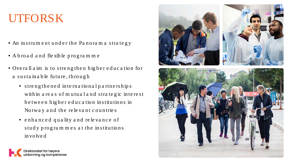# UTFORSK

- An instrum ent under the Panoram a strategy
- A b ro a d a n d fle xib le p ro g ra m m e
- Overall a im is to strengthen higher education for a sustainable future, through
	- streng the ned international partnerships with in a reas of mutual and strategic interest b e twe en higher education in stitutions in No rway and the relevant countries
	- enhanced quality and relevance of study programmes at the institutions in vo lve d

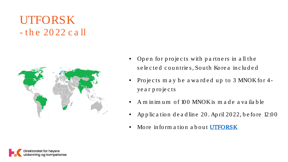## UTFORSK  $-$  the 2022 call



- Open for projects with partners in all the  $\bullet$ selected countries, South Korea included
- Projects may be awarded up to 3 MNOK for 4year projects
- A m in im um of 100 MNOK is m a de a vailable
- Application deadline 20. April 2022, before 12:00
- More inform a tion a bout **UTFORSK**

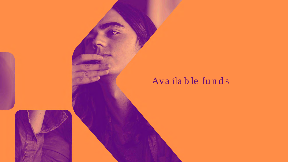#### Available funds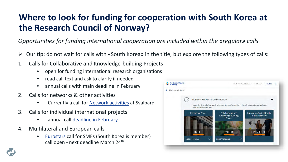### **Where to look for funding for cooperation with South Korea at the Research Council of Norway?**

*Opportunities for funding international cooperation are included within the «regular» calls.* 

- Our tip: do not wait for calls with «South Korea» in the title, but explore the following types of calls:
- 1. Calls for Collaborative and Knowledge-building Projects
	- open for funding international research organisations
	- read call text and ask to clarify if needed
	- annual calls with main deadline in February
- 2. Calls for networks & other activities
	- Currently a call for [Network activities](https://www.forskningsradet.no/en/call-for-proposals/2022/coordination-networking-svalbard/) at Svalbard
- 3. Calls for individual international projects
	- annual call [deadline in February,](https://www.forskningsradet.no/en/call-for-proposals/2022/researcher-project-international-mobility/)
- 4. Multilateral and European calls
	- [Eurostars](https://www.forskningsradet.no/en/call-for-proposals/International-joint-calls/eurostars--for-small-and-medium-sized-enterprises/) call for SMEs (South Korea is member) call open - next deadline March 24th



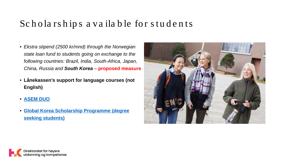### Scholarships a vailable for students

- *Ekstra stipend (2500 kr/mnd) through the Norwegian state loan fund to students going on exchange to the following countries: Brazil, India, South-Africa, Japan, China, Russia and South Korea – proposed measure*
- **Lånekassen's support for language courses (not English)**
- **[ASEM DUO](http://www.asemduo.org/index.php)**
- **[Global Korea Scholarship Programme \(degree](https://www.studyinkorea.go.kr/en/sub/gks/allnew_invite.do) seeking students)**



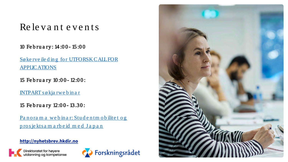#### Re le vant events

10 Fe b ru a ry : 14 :0 0 - 15 :0 0

Sø ke rve ile ding for UTFORSK CALL FOR **APPLICATIONS** 

15 Fe b ru a ry 10 :0 0 - 12:0 0 :

[INTPART s ø kja rwe b in a r](https://hkdir.no/arrangement/intpart-soekjarwebinar)

15 Fe b ru a ry 12:0 0 - 13.30 :

Panoram a we b in a r: Studentm obilitet og pros je kts a m a rb e id m e d Japan

**http://nyhetsbrev.hkdir.no**





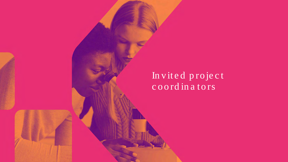### Invited project coordinators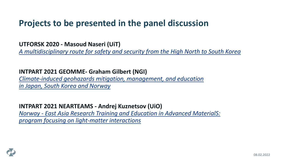#### **Projects to be presented in the panel discussion**

#### **UTFORSK 2020 - Masoud Naseri (UiT)**

*A multidisciplinary route for safety and security from the [High North to South Korea](https://espresso.diku.no/projects/;jsessionid=jc1ryg7bxw9ivqzc9nwzyg3q?1&project=UTF-2020-SouthKorea/10014)* 

#### **INTPART 2021 GEOMME- Graham Gilbert (NGI)**

*[Climate-induced geohazards mitigation, management, and education](https://prosjektbanken.forskningsradet.no/project/FORISS/322469?Kilde=FORISS&distribution=Ar&chart=bar&calcType=funding&Sprak=no&sortBy=score&sortOrder=desc&resultCount=30&offset=0&Fritekst=Climate-induced+geohazards+mitigation%2C+management%2C+and+education+in+Japan%2C+South+Korea%2C+and+Norway+%28GEOMME%29) in Japan, South Korea and Norway*

#### **INTPART 2021 NEARTEAMS - Andrej Kuznetsov (UiO)**

*Norway - [East Asia Research Training and Education](https://prosjektbanken.forskningsradet.no/project/FORISS/322382?Kilde=FORISS&distribution=Ar&chart=bar&calcType=funding&Sprak=no&sortBy=score&sortOrder=desc&resultCount=30&offset=0&Fritekst=322382) in Advanced MaterialS: program focusing on light-matter interactions*